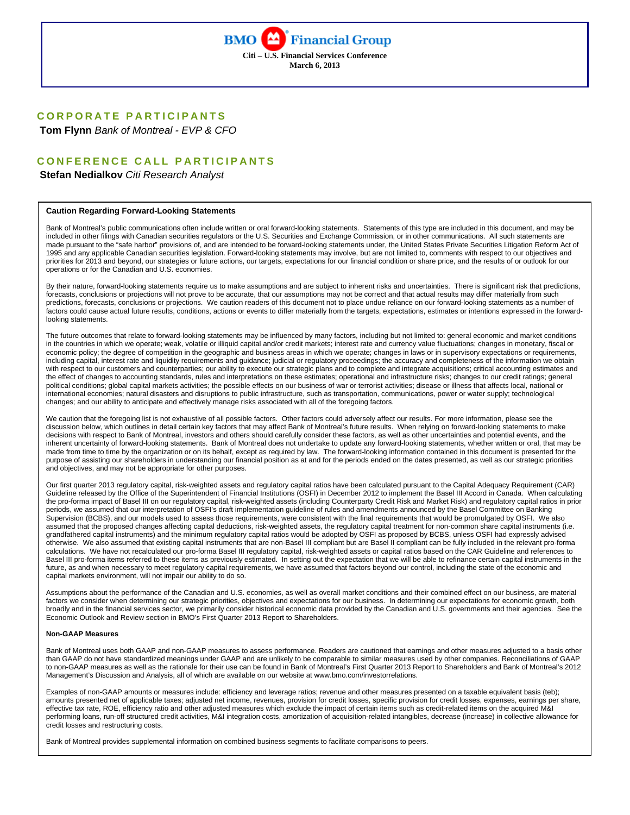

# **CORPORATE PARTICIPANTS**

 **Tom Flynn** *Bank of Montreal - EVP & CFO* 

# **CONFERENCE CALL PARTICIPANTS**

 **Stefan Nedialkov** *Citi Research Analyst* 

#### **Caution Regarding Forward-Looking Statements**

Bank of Montreal's public communications often include written or oral forward-looking statements. Statements of this type are included in this document, and may be included in other filings with Canadian securities regulators or the U.S. Securities and Exchange Commission, or in other communications. All such statements are made pursuant to the "safe harbor" provisions of, and are intended to be forward-looking statements under, the United States Private Securities Litigation Reform Act of 1995 and any applicable Canadian securities legislation. Forward-looking statements may involve, but are not limited to, comments with respect to our objectives and priorities for 2013 and beyond, our strategies or future actions, our targets, expectations for our financial condition or share price, and the results of or outlook for our operations or for the Canadian and U.S. economies.

By their nature, forward-looking statements require us to make assumptions and are subject to inherent risks and uncertainties. There is significant risk that predictions, forecasts, conclusions or projections will not prove to be accurate, that our assumptions may not be correct and that actual results may differ materially from such predictions, forecasts, conclusions or projections. We caution readers of this document not to place undue reliance on our forward-looking statements as a number of factors could cause actual future results, conditions, actions or events to differ materially from the targets, expectations, estimates or intentions expressed in the forwardlooking statements.

The future outcomes that relate to forward-looking statements may be influenced by many factors, including but not limited to: general economic and market conditions in the countries in which we operate; weak, volatile or illiquid capital and/or credit markets; interest rate and currency value fluctuations; changes in monetary, fiscal or economic policy; the degree of competition in the geographic and business areas in which we operate; changes in laws or in supervisory expectations or requirements, including capital, interest rate and liquidity requirements and guidance; judicial or regulatory proceedings; the accuracy and completeness of the information we obtain with respect to our customers and counterparties; our ability to execute our strategic plans and to complete and integrate acquisitions; critical accounting estimates and the effect of changes to accounting standards, rules and interpretations on these estimates; operational and infrastructure risks; changes to our credit ratings; general political conditions; global capital markets activities; the possible effects on our business of war or terrorist activities; disease or illness that affects local, national or international economies; natural disasters and disruptions to public infrastructure, such as transportation, communications, power or water supply; technological changes; and our ability to anticipate and effectively manage risks associated with all of the foregoing factors.

We caution that the foregoing list is not exhaustive of all possible factors. Other factors could adversely affect our results. For more information, please see the discussion below, which outlines in detail certain key factors that may affect Bank of Montreal's future results. When relying on forward-looking statements to make decisions with respect to Bank of Montreal, investors and others should carefully consider these factors, as well as other uncertainties and potential events, and the inherent uncertainty of forward-looking statements. Bank of Montreal does not undertake to update any forward-looking statements, whether written or oral, that may be made from time to time by the organization or on its behalf, except as required by law. The forward-looking information contained in this document is presented for the purpose of assisting our shareholders in understanding our financial position as at and for the periods ended on the dates presented, as well as our strategic priorities and objectives, and may not be appropriate for other purposes.

Our first quarter 2013 regulatory capital, risk-weighted assets and regulatory capital ratios have been calculated pursuant to the Capital Adequacy Requirement (CAR) Guideline released by the Office of the Superintendent of Financial Institutions (OSFI) in December 2012 to implement the Basel III Accord in Canada. When calculating the pro-forma impact of Basel III on our regulatory capital, risk-weighted assets (including Counterparty Credit Risk and Market Risk) and regulatory capital ratios in prior periods, we assumed that our interpretation of OSFI's draft implementation guideline of rules and amendments announced by the Basel Committee on Banking Supervision (BCBS), and our models used to assess those requirements, were consistent with the final requirements that would be promulgated by OSFI. We also assumed that the proposed changes affecting capital deductions, risk-weighted assets, the regulatory capital treatment for non-common share capital instruments (i.e. grandfathered capital instruments) and the minimum regulatory capital ratios would be adopted by OSFI as proposed by BCBS, unless OSFI had expressly advised otherwise. We also assumed that existing capital instruments that are non-Basel III compliant but are Basel II compliant can be fully included in the relevant pro-forma calculations. We have not recalculated our pro-forma Basel III regulatory capital, risk-weighted assets or capital ratios based on the CAR Guideline and references to Basel III pro-forma items referred to these items as previously estimated. In setting out the expectation that we will be able to refinance certain capital instruments in the future, as and when necessary to meet regulatory capital requirements, we have assumed that factors beyond our control, including the state of the economic and capital markets environment, will not impair our ability to do so.

Assumptions about the performance of the Canadian and U.S. economies, as well as overall market conditions and their combined effect on our business, are material factors we consider when determining our strategic priorities, objectives and expectations for our business. In determining our expectations for economic growth, both broadly and in the financial services sector, we primarily consider historical economic data provided by the Canadian and U.S. governments and their agencies. See the Economic Outlook and Review section in BMO's First Quarter 2013 Report to Shareholders.

#### **Non-GAAP Measures**

Bank of Montreal uses both GAAP and non-GAAP measures to assess performance. Readers are cautioned that earnings and other measures adjusted to a basis other than GAAP do not have standardized meanings under GAAP and are unlikely to be comparable to similar measures used by other companies. Reconciliations of GAAP to non-GAAP measures as well as the rationale for their use can be found in Bank of Montreal's First Quarter 2013 Report to Shareholders and Bank of Montreal's 2012 Management's Discussion and Analysis, all of which are available on our website at www.bmo.com/investorrelations.

Examples of non-GAAP amounts or measures include: efficiency and leverage ratios; revenue and other measures presented on a taxable equivalent basis (teb); amounts presented net of applicable taxes; adjusted net income, revenues, provision for credit losses, specific provision for credit losses, expenses, earnings per share, effective tax rate, ROE, efficiency ratio and other adjusted measures which exclude the impact of certain items such as credit-related items on the acquired M&I performing loans, run-off structured credit activities, M&I integration costs, amortization of acquisition-related intangibles, decrease (increase) in collective allowance for credit losses and restructuring costs.

Bank of Montreal provides supplemental information on combined business segments to facilitate comparisons to peers.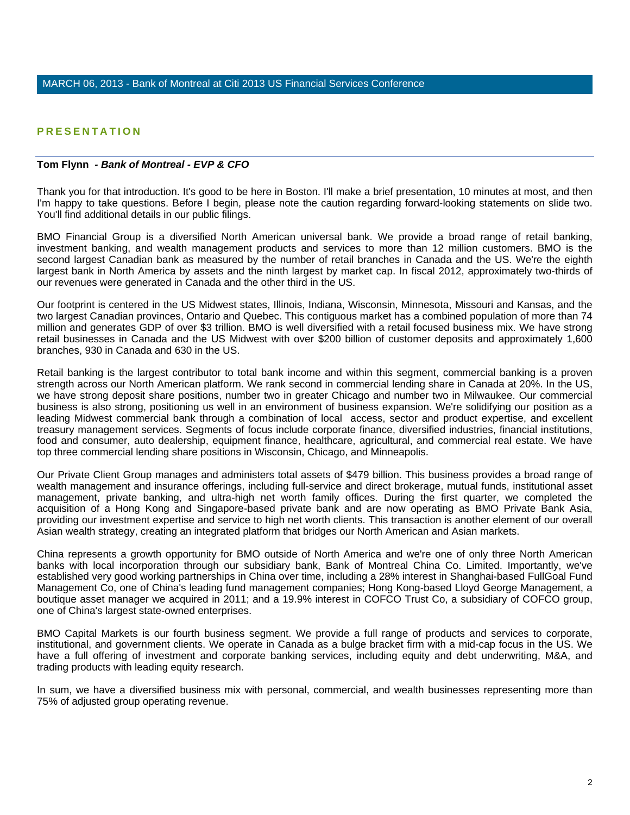# **PRESENTATION**

# **Tom Flynn** *- Bank of Montreal - EVP & CFO*

Thank you for that introduction. It's good to be here in Boston. I'll make a brief presentation, 10 minutes at most, and then I'm happy to take questions. Before I begin, please note the caution regarding forward-looking statements on slide two. You'll find additional details in our public filings.

BMO Financial Group is a diversified North American universal bank. We provide a broad range of retail banking, investment banking, and wealth management products and services to more than 12 million customers. BMO is the second largest Canadian bank as measured by the number of retail branches in Canada and the US. We're the eighth largest bank in North America by assets and the ninth largest by market cap. In fiscal 2012, approximately two-thirds of our revenues were generated in Canada and the other third in the US.

Our footprint is centered in the US Midwest states, Illinois, Indiana, Wisconsin, Minnesota, Missouri and Kansas, and the two largest Canadian provinces, Ontario and Quebec. This contiguous market has a combined population of more than 74 million and generates GDP of over \$3 trillion. BMO is well diversified with a retail focused business mix. We have strong retail businesses in Canada and the US Midwest with over \$200 billion of customer deposits and approximately 1,600 branches, 930 in Canada and 630 in the US.

Retail banking is the largest contributor to total bank income and within this segment, commercial banking is a proven strength across our North American platform. We rank second in commercial lending share in Canada at 20%. In the US, we have strong deposit share positions, number two in greater Chicago and number two in Milwaukee. Our commercial business is also strong, positioning us well in an environment of business expansion. We're solidifying our position as a leading Midwest commercial bank through a combination of local access, sector and product expertise, and excellent treasury management services. Segments of focus include corporate finance, diversified industries, financial institutions, food and consumer, auto dealership, equipment finance, healthcare, agricultural, and commercial real estate. We have top three commercial lending share positions in Wisconsin, Chicago, and Minneapolis.

Our Private Client Group manages and administers total assets of \$479 billion. This business provides a broad range of wealth management and insurance offerings, including full-service and direct brokerage, mutual funds, institutional asset management, private banking, and ultra-high net worth family offices. During the first quarter, we completed the acquisition of a Hong Kong and Singapore-based private bank and are now operating as BMO Private Bank Asia, providing our investment expertise and service to high net worth clients. This transaction is another element of our overall Asian wealth strategy, creating an integrated platform that bridges our North American and Asian markets.

China represents a growth opportunity for BMO outside of North America and we're one of only three North American banks with local incorporation through our subsidiary bank, Bank of Montreal China Co. Limited. Importantly, we've established very good working partnerships in China over time, including a 28% interest in Shanghai-based FullGoal Fund Management Co, one of China's leading fund management companies; Hong Kong-based Lloyd George Management, a boutique asset manager we acquired in 2011; and a 19.9% interest in COFCO Trust Co, a subsidiary of COFCO group, one of China's largest state-owned enterprises.

BMO Capital Markets is our fourth business segment. We provide a full range of products and services to corporate, institutional, and government clients. We operate in Canada as a bulge bracket firm with a mid-cap focus in the US. We have a full offering of investment and corporate banking services, including equity and debt underwriting, M&A, and trading products with leading equity research.

In sum, we have a diversified business mix with personal, commercial, and wealth businesses representing more than 75% of adjusted group operating revenue.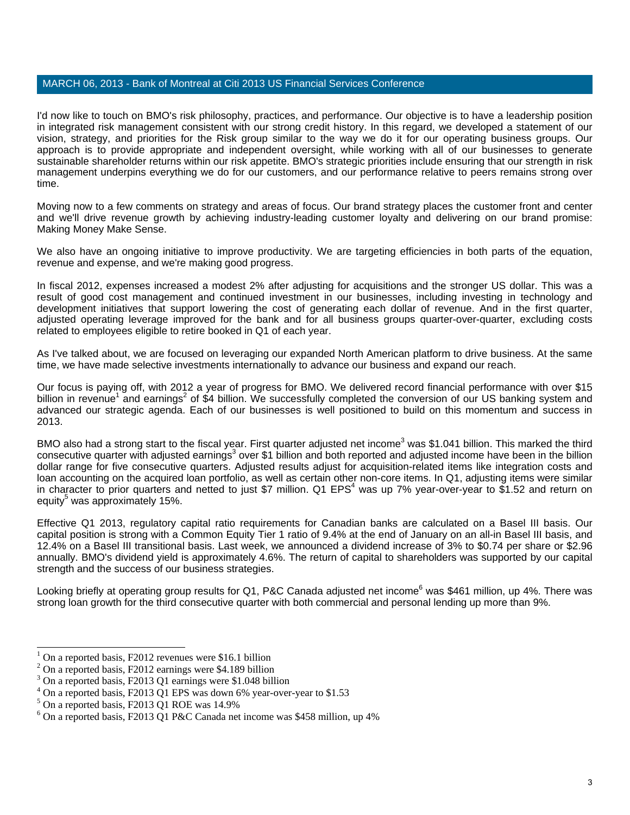I'd now like to touch on BMO's risk philosophy, practices, and performance. Our objective is to have a leadership position in integrated risk management consistent with our strong credit history. In this regard, we developed a statement of our vision, strategy, and priorities for the Risk group similar to the way we do it for our operating business groups. Our approach is to provide appropriate and independent oversight, while working with all of our businesses to generate sustainable shareholder returns within our risk appetite. BMO's strategic priorities include ensuring that our strength in risk management underpins everything we do for our customers, and our performance relative to peers remains strong over time.

Moving now to a few comments on strategy and areas of focus. Our brand strategy places the customer front and center and we'll drive revenue growth by achieving industry-leading customer loyalty and delivering on our brand promise: Making Money Make Sense.

We also have an ongoing initiative to improve productivity. We are targeting efficiencies in both parts of the equation, revenue and expense, and we're making good progress.

In fiscal 2012, expenses increased a modest 2% after adjusting for acquisitions and the stronger US dollar. This was a result of good cost management and continued investment in our businesses, including investing in technology and development initiatives that support lowering the cost of generating each dollar of revenue. And in the first quarter, adjusted operating leverage improved for the bank and for all business groups quarter-over-quarter, excluding costs related to employees eligible to retire booked in Q1 of each year.

As I've talked about, we are focused on leveraging our expanded North American platform to drive business. At the same time, we have made selective investments internationally to advance our business and expand our reach.

Our focus is paying off, with 2012 a year of progress for BMO. We delivered record financial performance with over \$15 billion in revenue<sup>1</sup> and earnings<sup>2</sup> of \$4 billion. We successfully completed the conversion of our US banking system and advanced our strategic agenda. Each of our businesses is well positioned to build on this momentum and success in 2013.

BMO also had a strong start to the fiscal year. First quarter adjusted net income<sup>3</sup> was \$1.041 billion. This marked the third consecutive quarter with adjusted earnings<sup>3</sup> over \$1 billion and both reported and adjusted income have been in the billion dollar range for five consecutive quarters. Adjusted results adjust for acquisition-related items like integration costs and loan accounting on the acquired loan portfolio, as well as certain other non-core items. In Q1, adjusting items were similar in character to prior quarters and netted to just \$7 million. Q1 EPS<sup>4</sup> was up 7% year-over-year to \$1.52 and return on equity<sup>5</sup> was approximately 15%.

Effective Q1 2013, regulatory capital ratio requirements for Canadian banks are calculated on a Basel III basis. Our capital position is strong with a Common Equity Tier 1 ratio of 9.4% at the end of January on an all-in Basel III basis, and 12.4% on a Basel III transitional basis. Last week, we announced a dividend increase of 3% to \$0.74 per share or \$2.96 annually. BMO's dividend yield is approximately 4.6%. The return of capital to shareholders was supported by our capital strength and the success of our business strategies.

Looking briefly at operating group results for Q1, P&C Canada adjusted net income<sup>6</sup> was \$461 million, up 4%. There was strong loan growth for the third consecutive quarter with both commercial and personal lending up more than 9%.

j

<sup>1</sup> On a reported basis, F2012 revenues were \$16.1 billion

 $2$  On a reported basis, F2012 earnings were \$4.189 billion

<sup>&</sup>lt;sup>3</sup> On a reported basis, F2013 Q1 earnings were \$1.048 billion

<sup>&</sup>lt;sup>4</sup> On a reported basis, F2013 Q1 EPS was down 6% year-over-year to \$1.53

<sup>5</sup> On a reported basis, F2013 Q1 ROE was 14.9%

 $6$  On a reported basis, F2013 Q1 P&C Canada net income was \$458 million, up 4%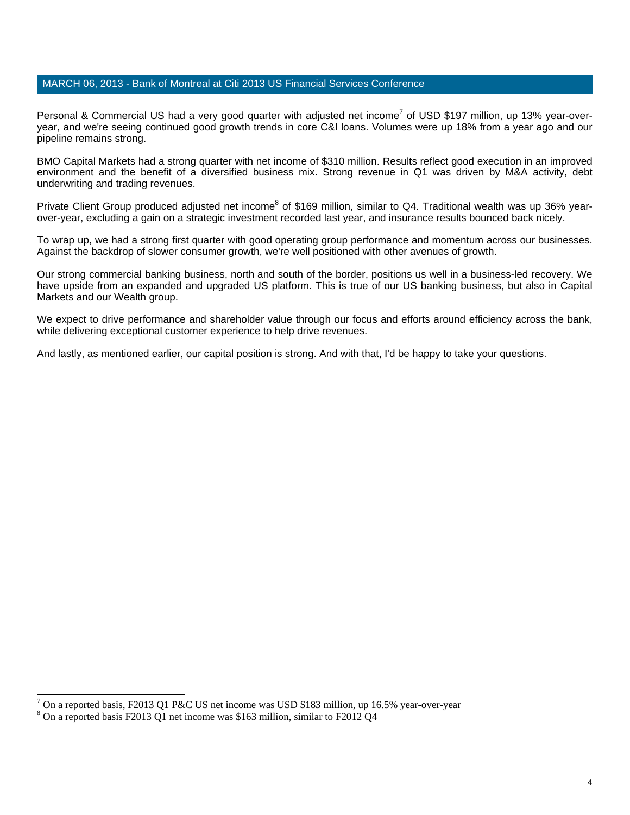Personal & Commercial US had a very good quarter with adjusted net income<sup>7</sup> of USD \$197 million, up 13% year-overyear, and we're seeing continued good growth trends in core C&I loans. Volumes were up 18% from a year ago and our pipeline remains strong.

BMO Capital Markets had a strong quarter with net income of \$310 million. Results reflect good execution in an improved environment and the benefit of a diversified business mix. Strong revenue in Q1 was driven by M&A activity, debt underwriting and trading revenues.

Private Client Group produced adjusted net income<sup>8</sup> of \$169 million, similar to Q4. Traditional wealth was up 36% yearover-year, excluding a gain on a strategic investment recorded last year, and insurance results bounced back nicely.

To wrap up, we had a strong first quarter with good operating group performance and momentum across our businesses. Against the backdrop of slower consumer growth, we're well positioned with other avenues of growth.

Our strong commercial banking business, north and south of the border, positions us well in a business-led recovery. We have upside from an expanded and upgraded US platform. This is true of our US banking business, but also in Capital Markets and our Wealth group.

We expect to drive performance and shareholder value through our focus and efforts around efficiency across the bank, while delivering exceptional customer experience to help drive revenues.

And lastly, as mentioned earlier, our capital position is strong. And with that, I'd be happy to take your questions.

l

<sup>7</sup> On a reported basis, F2013 Q1 P&C US net income was USD \$183 million, up 16.5% year-over-year

 $8$  On a reported basis F2013 Q1 net income was \$163 million, similar to F2012 Q4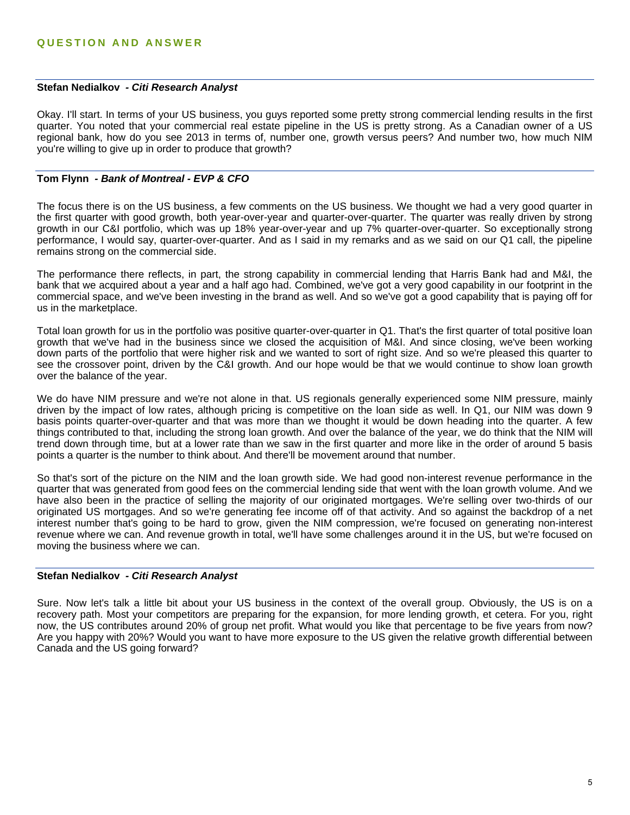### **Stefan Nedialkov** *- Citi Research Analyst*

Okay. I'll start. In terms of your US business, you guys reported some pretty strong commercial lending results in the first quarter. You noted that your commercial real estate pipeline in the US is pretty strong. As a Canadian owner of a US regional bank, how do you see 2013 in terms of, number one, growth versus peers? And number two, how much NIM you're willing to give up in order to produce that growth?

# **Tom Flynn** *- Bank of Montreal - EVP & CFO*

The focus there is on the US business, a few comments on the US business. We thought we had a very good quarter in the first quarter with good growth, both year-over-year and quarter-over-quarter. The quarter was really driven by strong growth in our C&I portfolio, which was up 18% year-over-year and up 7% quarter-over-quarter. So exceptionally strong performance, I would say, quarter-over-quarter. And as I said in my remarks and as we said on our Q1 call, the pipeline remains strong on the commercial side.

The performance there reflects, in part, the strong capability in commercial lending that Harris Bank had and M&I, the bank that we acquired about a year and a half ago had. Combined, we've got a very good capability in our footprint in the commercial space, and we've been investing in the brand as well. And so we've got a good capability that is paying off for us in the marketplace.

Total loan growth for us in the portfolio was positive quarter-over-quarter in Q1. That's the first quarter of total positive loan growth that we've had in the business since we closed the acquisition of M&I. And since closing, we've been working down parts of the portfolio that were higher risk and we wanted to sort of right size. And so we're pleased this quarter to see the crossover point, driven by the C&I growth. And our hope would be that we would continue to show loan growth over the balance of the year.

We do have NIM pressure and we're not alone in that. US regionals generally experienced some NIM pressure, mainly driven by the impact of low rates, although pricing is competitive on the loan side as well. In Q1, our NIM was down 9 basis points quarter-over-quarter and that was more than we thought it would be down heading into the quarter. A few things contributed to that, including the strong loan growth. And over the balance of the year, we do think that the NIM will trend down through time, but at a lower rate than we saw in the first quarter and more like in the order of around 5 basis points a quarter is the number to think about. And there'll be movement around that number.

So that's sort of the picture on the NIM and the loan growth side. We had good non-interest revenue performance in the quarter that was generated from good fees on the commercial lending side that went with the loan growth volume. And we have also been in the practice of selling the majority of our originated mortgages. We're selling over two-thirds of our originated US mortgages. And so we're generating fee income off of that activity. And so against the backdrop of a net interest number that's going to be hard to grow, given the NIM compression, we're focused on generating non-interest revenue where we can. And revenue growth in total, we'll have some challenges around it in the US, but we're focused on moving the business where we can.

### **Stefan Nedialkov** *- Citi Research Analyst*

Sure. Now let's talk a little bit about your US business in the context of the overall group. Obviously, the US is on a recovery path. Most your competitors are preparing for the expansion, for more lending growth, et cetera. For you, right now, the US contributes around 20% of group net profit. What would you like that percentage to be five years from now? Are you happy with 20%? Would you want to have more exposure to the US given the relative growth differential between Canada and the US going forward?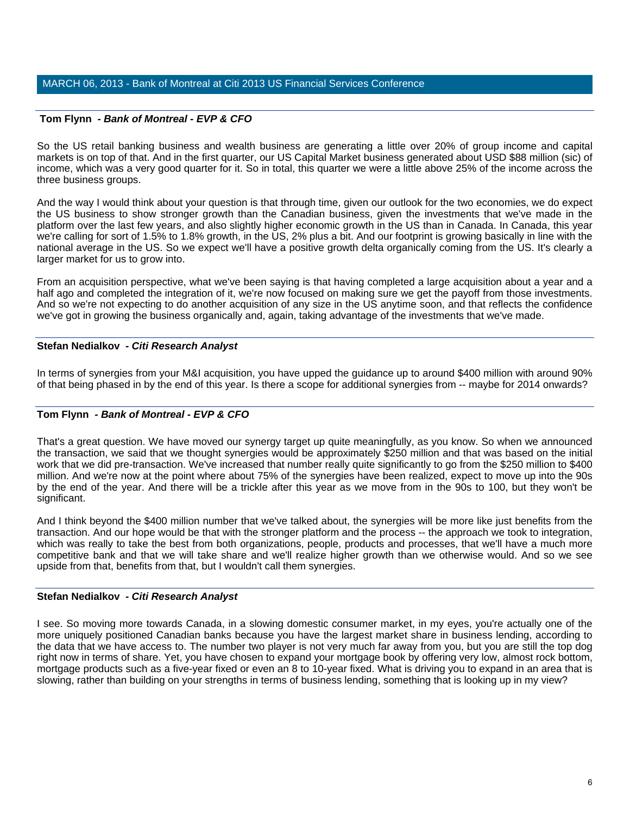# **Tom Flynn** *- Bank of Montreal - EVP & CFO*

So the US retail banking business and wealth business are generating a little over 20% of group income and capital markets is on top of that. And in the first quarter, our US Capital Market business generated about USD \$88 million (sic) of income, which was a very good quarter for it. So in total, this quarter we were a little above 25% of the income across the three business groups.

And the way I would think about your question is that through time, given our outlook for the two economies, we do expect the US business to show stronger growth than the Canadian business, given the investments that we've made in the platform over the last few years, and also slightly higher economic growth in the US than in Canada. In Canada, this year we're calling for sort of 1.5% to 1.8% growth, in the US, 2% plus a bit. And our footprint is growing basically in line with the national average in the US. So we expect we'll have a positive growth delta organically coming from the US. It's clearly a larger market for us to grow into.

From an acquisition perspective, what we've been saying is that having completed a large acquisition about a year and a half ago and completed the integration of it, we're now focused on making sure we get the payoff from those investments. And so we're not expecting to do another acquisition of any size in the US anytime soon, and that reflects the confidence we've got in growing the business organically and, again, taking advantage of the investments that we've made.

# **Stefan Nedialkov** *- Citi Research Analyst*

In terms of synergies from your M&I acquisition, you have upped the guidance up to around \$400 million with around 90% of that being phased in by the end of this year. Is there a scope for additional synergies from -- maybe for 2014 onwards?

# **Tom Flynn** *- Bank of Montreal - EVP & CFO*

That's a great question. We have moved our synergy target up quite meaningfully, as you know. So when we announced the transaction, we said that we thought synergies would be approximately \$250 million and that was based on the initial work that we did pre-transaction. We've increased that number really quite significantly to go from the \$250 million to \$400 million. And we're now at the point where about 75% of the synergies have been realized, expect to move up into the 90s by the end of the year. And there will be a trickle after this year as we move from in the 90s to 100, but they won't be significant.

And I think beyond the \$400 million number that we've talked about, the synergies will be more like just benefits from the transaction. And our hope would be that with the stronger platform and the process -- the approach we took to integration, which was really to take the best from both organizations, people, products and processes, that we'll have a much more competitive bank and that we will take share and we'll realize higher growth than we otherwise would. And so we see upside from that, benefits from that, but I wouldn't call them synergies.

# **Stefan Nedialkov** *- Citi Research Analyst*

I see. So moving more towards Canada, in a slowing domestic consumer market, in my eyes, you're actually one of the more uniquely positioned Canadian banks because you have the largest market share in business lending, according to the data that we have access to. The number two player is not very much far away from you, but you are still the top dog right now in terms of share. Yet, you have chosen to expand your mortgage book by offering very low, almost rock bottom, mortgage products such as a five-year fixed or even an 8 to 10-year fixed. What is driving you to expand in an area that is slowing, rather than building on your strengths in terms of business lending, something that is looking up in my view?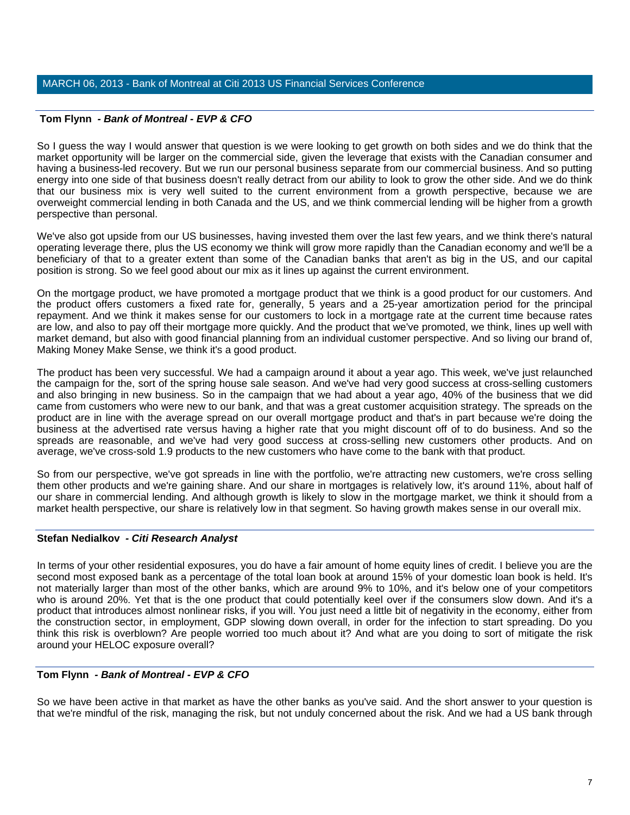# **Tom Flynn** *- Bank of Montreal - EVP & CFO*

So I guess the way I would answer that question is we were looking to get growth on both sides and we do think that the market opportunity will be larger on the commercial side, given the leverage that exists with the Canadian consumer and having a business-led recovery. But we run our personal business separate from our commercial business. And so putting energy into one side of that business doesn't really detract from our ability to look to grow the other side. And we do think that our business mix is very well suited to the current environment from a growth perspective, because we are overweight commercial lending in both Canada and the US, and we think commercial lending will be higher from a growth perspective than personal.

We've also got upside from our US businesses, having invested them over the last few years, and we think there's natural operating leverage there, plus the US economy we think will grow more rapidly than the Canadian economy and we'll be a beneficiary of that to a greater extent than some of the Canadian banks that aren't as big in the US, and our capital position is strong. So we feel good about our mix as it lines up against the current environment.

On the mortgage product, we have promoted a mortgage product that we think is a good product for our customers. And the product offers customers a fixed rate for, generally, 5 years and a 25-year amortization period for the principal repayment. And we think it makes sense for our customers to lock in a mortgage rate at the current time because rates are low, and also to pay off their mortgage more quickly. And the product that we've promoted, we think, lines up well with market demand, but also with good financial planning from an individual customer perspective. And so living our brand of, Making Money Make Sense, we think it's a good product.

The product has been very successful. We had a campaign around it about a year ago. This week, we've just relaunched the campaign for the, sort of the spring house sale season. And we've had very good success at cross-selling customers and also bringing in new business. So in the campaign that we had about a year ago, 40% of the business that we did came from customers who were new to our bank, and that was a great customer acquisition strategy. The spreads on the product are in line with the average spread on our overall mortgage product and that's in part because we're doing the business at the advertised rate versus having a higher rate that you might discount off of to do business. And so the spreads are reasonable, and we've had very good success at cross-selling new customers other products. And on average, we've cross-sold 1.9 products to the new customers who have come to the bank with that product.

So from our perspective, we've got spreads in line with the portfolio, we're attracting new customers, we're cross selling them other products and we're gaining share. And our share in mortgages is relatively low, it's around 11%, about half of our share in commercial lending. And although growth is likely to slow in the mortgage market, we think it should from a market health perspective, our share is relatively low in that segment. So having growth makes sense in our overall mix.

# **Stefan Nedialkov** *- Citi Research Analyst*

In terms of your other residential exposures, you do have a fair amount of home equity lines of credit. I believe you are the second most exposed bank as a percentage of the total loan book at around 15% of your domestic loan book is held. It's not materially larger than most of the other banks, which are around 9% to 10%, and it's below one of your competitors who is around 20%. Yet that is the one product that could potentially keel over if the consumers slow down. And it's a product that introduces almost nonlinear risks, if you will. You just need a little bit of negativity in the economy, either from the construction sector, in employment, GDP slowing down overall, in order for the infection to start spreading. Do you think this risk is overblown? Are people worried too much about it? And what are you doing to sort of mitigate the risk around your HELOC exposure overall?

# **Tom Flynn** *- Bank of Montreal - EVP & CFO*

So we have been active in that market as have the other banks as you've said. And the short answer to your question is that we're mindful of the risk, managing the risk, but not unduly concerned about the risk. And we had a US bank through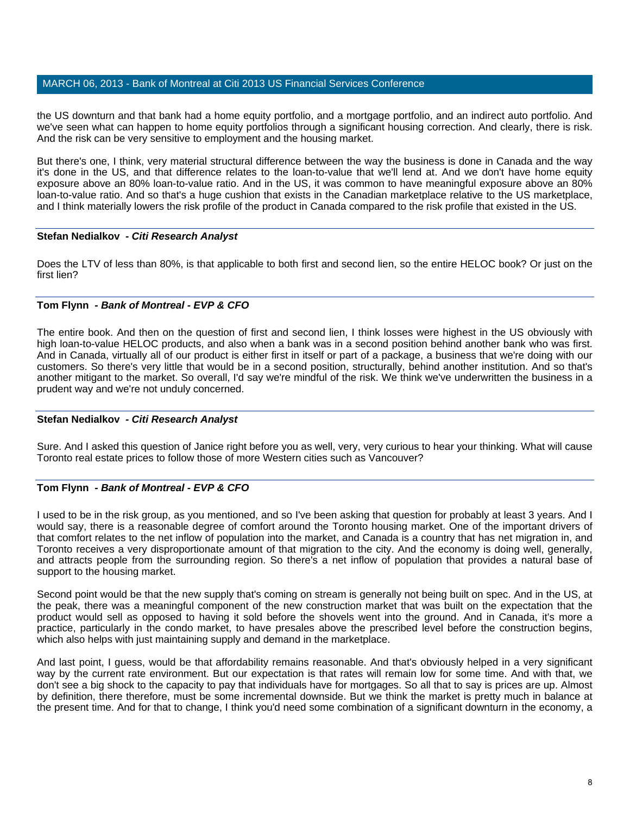the US downturn and that bank had a home equity portfolio, and a mortgage portfolio, and an indirect auto portfolio. And we've seen what can happen to home equity portfolios through a significant housing correction. And clearly, there is risk. And the risk can be very sensitive to employment and the housing market.

But there's one, I think, very material structural difference between the way the business is done in Canada and the way it's done in the US, and that difference relates to the loan-to-value that we'll lend at. And we don't have home equity exposure above an 80% loan-to-value ratio. And in the US, it was common to have meaningful exposure above an 80% loan-to-value ratio. And so that's a huge cushion that exists in the Canadian marketplace relative to the US marketplace, and I think materially lowers the risk profile of the product in Canada compared to the risk profile that existed in the US.

### **Stefan Nedialkov** *- Citi Research Analyst*

Does the LTV of less than 80%, is that applicable to both first and second lien, so the entire HELOC book? Or just on the first lien?

# **Tom Flynn** *- Bank of Montreal - EVP & CFO*

The entire book. And then on the question of first and second lien, I think losses were highest in the US obviously with high loan-to-value HELOC products, and also when a bank was in a second position behind another bank who was first. And in Canada, virtually all of our product is either first in itself or part of a package, a business that we're doing with our customers. So there's very little that would be in a second position, structurally, behind another institution. And so that's another mitigant to the market. So overall, I'd say we're mindful of the risk. We think we've underwritten the business in a prudent way and we're not unduly concerned.

# **Stefan Nedialkov** *- Citi Research Analyst*

Sure. And I asked this question of Janice right before you as well, very, very curious to hear your thinking. What will cause Toronto real estate prices to follow those of more Western cities such as Vancouver?

# **Tom Flynn** *- Bank of Montreal - EVP & CFO*

I used to be in the risk group, as you mentioned, and so I've been asking that question for probably at least 3 years. And I would say, there is a reasonable degree of comfort around the Toronto housing market. One of the important drivers of that comfort relates to the net inflow of population into the market, and Canada is a country that has net migration in, and Toronto receives a very disproportionate amount of that migration to the city. And the economy is doing well, generally, and attracts people from the surrounding region. So there's a net inflow of population that provides a natural base of support to the housing market.

Second point would be that the new supply that's coming on stream is generally not being built on spec. And in the US, at the peak, there was a meaningful component of the new construction market that was built on the expectation that the product would sell as opposed to having it sold before the shovels went into the ground. And in Canada, it's more a practice, particularly in the condo market, to have presales above the prescribed level before the construction begins, which also helps with just maintaining supply and demand in the marketplace.

And last point, I guess, would be that affordability remains reasonable. And that's obviously helped in a very significant way by the current rate environment. But our expectation is that rates will remain low for some time. And with that, we don't see a big shock to the capacity to pay that individuals have for mortgages. So all that to say is prices are up. Almost by definition, there therefore, must be some incremental downside. But we think the market is pretty much in balance at the present time. And for that to change, I think you'd need some combination of a significant downturn in the economy, a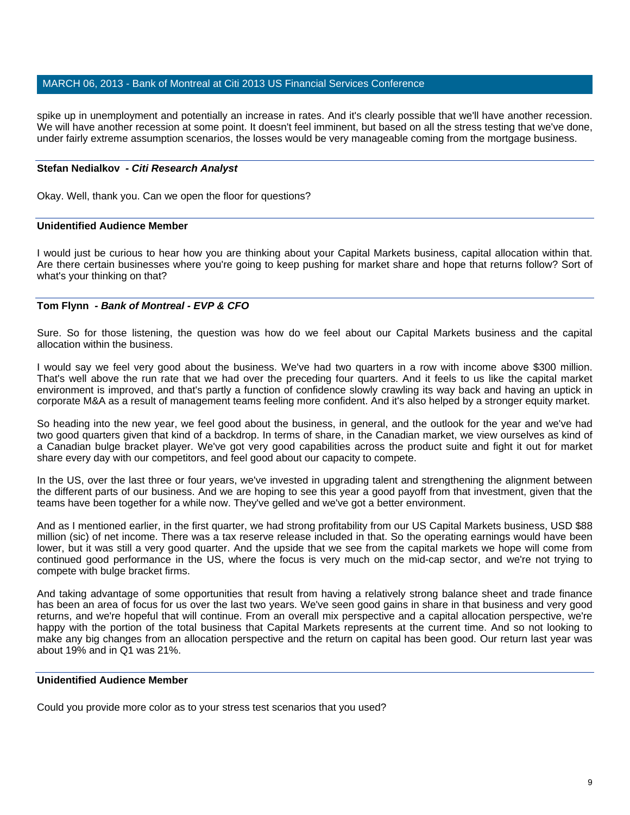spike up in unemployment and potentially an increase in rates. And it's clearly possible that we'll have another recession. We will have another recession at some point. It doesn't feel imminent, but based on all the stress testing that we've done, under fairly extreme assumption scenarios, the losses would be very manageable coming from the mortgage business.

### **Stefan Nedialkov** *- Citi Research Analyst*

Okay. Well, thank you. Can we open the floor for questions?

#### **Unidentified Audience Member**

I would just be curious to hear how you are thinking about your Capital Markets business, capital allocation within that. Are there certain businesses where you're going to keep pushing for market share and hope that returns follow? Sort of what's your thinking on that?

# **Tom Flynn** *- Bank of Montreal - EVP & CFO*

Sure. So for those listening, the question was how do we feel about our Capital Markets business and the capital allocation within the business.

I would say we feel very good about the business. We've had two quarters in a row with income above \$300 million. That's well above the run rate that we had over the preceding four quarters. And it feels to us like the capital market environment is improved, and that's partly a function of confidence slowly crawling its way back and having an uptick in corporate M&A as a result of management teams feeling more confident. And it's also helped by a stronger equity market.

So heading into the new year, we feel good about the business, in general, and the outlook for the year and we've had two good quarters given that kind of a backdrop. In terms of share, in the Canadian market, we view ourselves as kind of a Canadian bulge bracket player. We've got very good capabilities across the product suite and fight it out for market share every day with our competitors, and feel good about our capacity to compete.

In the US, over the last three or four years, we've invested in upgrading talent and strengthening the alignment between the different parts of our business. And we are hoping to see this year a good payoff from that investment, given that the teams have been together for a while now. They've gelled and we've got a better environment.

And as I mentioned earlier, in the first quarter, we had strong profitability from our US Capital Markets business, USD \$88 million (sic) of net income. There was a tax reserve release included in that. So the operating earnings would have been lower, but it was still a very good quarter. And the upside that we see from the capital markets we hope will come from continued good performance in the US, where the focus is very much on the mid-cap sector, and we're not trying to compete with bulge bracket firms.

And taking advantage of some opportunities that result from having a relatively strong balance sheet and trade finance has been an area of focus for us over the last two years. We've seen good gains in share in that business and very good returns, and we're hopeful that will continue. From an overall mix perspective and a capital allocation perspective, we're happy with the portion of the total business that Capital Markets represents at the current time. And so not looking to make any big changes from an allocation perspective and the return on capital has been good. Our return last year was about 19% and in Q1 was 21%.

# **Unidentified Audience Member**

Could you provide more color as to your stress test scenarios that you used?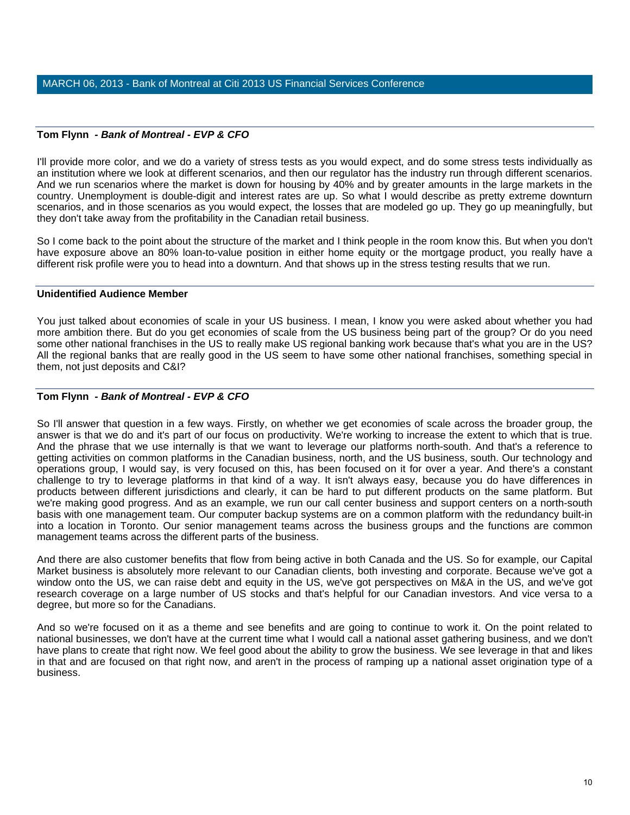### **Tom Flynn** *- Bank of Montreal - EVP & CFO*

I'll provide more color, and we do a variety of stress tests as you would expect, and do some stress tests individually as an institution where we look at different scenarios, and then our regulator has the industry run through different scenarios. And we run scenarios where the market is down for housing by 40% and by greater amounts in the large markets in the country. Unemployment is double-digit and interest rates are up. So what I would describe as pretty extreme downturn scenarios, and in those scenarios as you would expect, the losses that are modeled go up. They go up meaningfully, but they don't take away from the profitability in the Canadian retail business.

So I come back to the point about the structure of the market and I think people in the room know this. But when you don't have exposure above an 80% loan-to-value position in either home equity or the mortgage product, you really have a different risk profile were you to head into a downturn. And that shows up in the stress testing results that we run.

#### **Unidentified Audience Member**

You just talked about economies of scale in your US business. I mean, I know you were asked about whether you had more ambition there. But do you get economies of scale from the US business being part of the group? Or do you need some other national franchises in the US to really make US regional banking work because that's what you are in the US? All the regional banks that are really good in the US seem to have some other national franchises, something special in them, not just deposits and C&I?

# **Tom Flynn** *- Bank of Montreal - EVP & CFO*

So I'll answer that question in a few ways. Firstly, on whether we get economies of scale across the broader group, the answer is that we do and it's part of our focus on productivity. We're working to increase the extent to which that is true. And the phrase that we use internally is that we want to leverage our platforms north-south. And that's a reference to getting activities on common platforms in the Canadian business, north, and the US business, south. Our technology and operations group, I would say, is very focused on this, has been focused on it for over a year. And there's a constant challenge to try to leverage platforms in that kind of a way. It isn't always easy, because you do have differences in products between different jurisdictions and clearly, it can be hard to put different products on the same platform. But we're making good progress. And as an example, we run our call center business and support centers on a north-south basis with one management team. Our computer backup systems are on a common platform with the redundancy built-in into a location in Toronto. Our senior management teams across the business groups and the functions are common management teams across the different parts of the business.

And there are also customer benefits that flow from being active in both Canada and the US. So for example, our Capital Market business is absolutely more relevant to our Canadian clients, both investing and corporate. Because we've got a window onto the US, we can raise debt and equity in the US, we've got perspectives on M&A in the US, and we've got research coverage on a large number of US stocks and that's helpful for our Canadian investors. And vice versa to a degree, but more so for the Canadians.

And so we're focused on it as a theme and see benefits and are going to continue to work it. On the point related to national businesses, we don't have at the current time what I would call a national asset gathering business, and we don't have plans to create that right now. We feel good about the ability to grow the business. We see leverage in that and likes in that and are focused on that right now, and aren't in the process of ramping up a national asset origination type of a business.